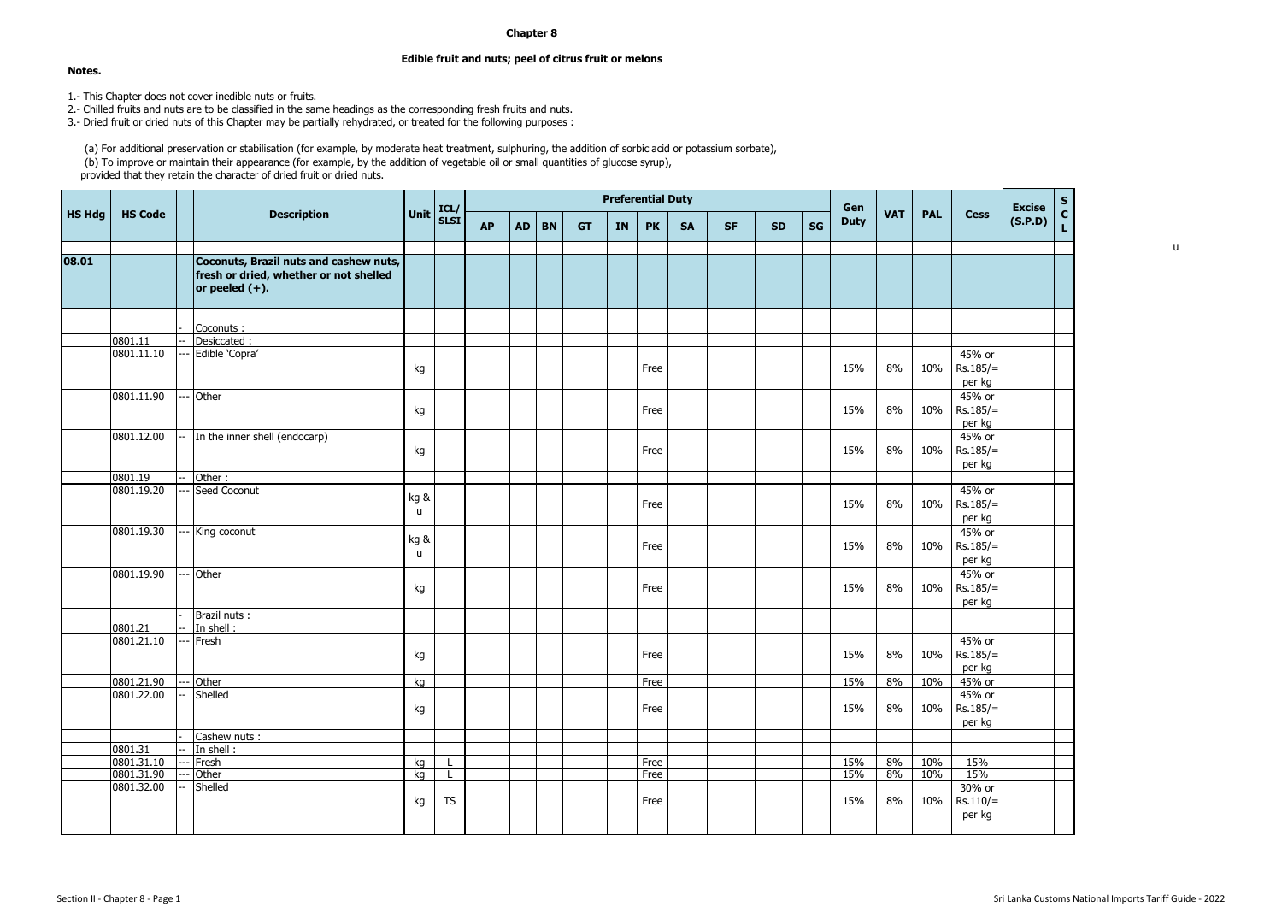## **Chapter 8**

## **Edible fruit and nuts; peel of citrus fruit or melons**

**Notes.**

1.- This Chapter does not cover inedible nuts or fruits.

2.- Chilled fruits and nuts are to be classified in the same headings as the corresponding fresh fruits and nuts.

3.- Dried fruit or dried nuts of this Chapter may be partially rehydrated, or treated for the following purposes :

(a) For additional preservation or stabilisation (for example, by moderate heat treatment, sulphuring, the addition of sorbic acid or potassium sorbate), (b) To improve or maintain their appearance (for example, by the addition of vegetable oil or small quantities of glucose syrup), provided that they retain the character of dried fruit or dried nuts.

|               |                |                                                                                                       |                      | ICL/        |           | <b>Preferential Duty</b> |           |           |           |           |           |           |           | Gen |             |            |            | <b>Excise</b>                  |         |                  |
|---------------|----------------|-------------------------------------------------------------------------------------------------------|----------------------|-------------|-----------|--------------------------|-----------|-----------|-----------|-----------|-----------|-----------|-----------|-----|-------------|------------|------------|--------------------------------|---------|------------------|
| <b>HS Hdg</b> | <b>HS Code</b> | <b>Description</b>                                                                                    | Unit                 | <b>SLST</b> | <b>AP</b> | <b>AD</b>                | <b>BN</b> | <b>GT</b> | <b>IN</b> | <b>PK</b> | <b>SA</b> | <b>SF</b> | <b>SD</b> | SG  | <b>Duty</b> | <b>VAT</b> | <b>PAL</b> | <b>Cess</b>                    | (S.P.D) | $c$ <sub>L</sub> |
| 08.01         |                | Coconuts, Brazil nuts and cashew nuts,<br>fresh or dried, whether or not shelled<br>or peeled $(+)$ . |                      |             |           |                          |           |           |           |           |           |           |           |     |             |            |            |                                |         |                  |
|               |                |                                                                                                       |                      |             |           |                          |           |           |           |           |           |           |           |     |             |            |            |                                |         |                  |
|               | 0801.11        | Coconuts:                                                                                             |                      |             |           |                          |           |           |           |           |           |           |           |     |             |            |            |                                |         |                  |
|               | 0801.11.10     | Desiccated:<br>Edible 'Copra'                                                                         |                      |             |           |                          |           |           |           |           |           |           |           |     |             |            |            | 45% or                         |         |                  |
|               |                |                                                                                                       | kg                   |             |           |                          |           |           |           | Free      |           |           |           |     | 15%         | 8%         | 10%        | $Rs.185/=$<br>per kg           |         |                  |
|               | 0801.11.90     | Other                                                                                                 | kg                   |             |           |                          |           |           |           | Free      |           |           |           |     | 15%         | 8%         | 10%        | 45% or<br>$Rs.185/=$<br>per kg |         |                  |
|               | 0801.12.00     | In the inner shell (endocarp)                                                                         | kg                   |             |           |                          |           |           |           | Free      |           |           |           |     | 15%         | 8%         | 10%        | 45% or<br>$Rs.185/=$<br>per kg |         |                  |
|               | 0801.19        | Other:                                                                                                |                      |             |           |                          |           |           |           |           |           |           |           |     |             |            |            |                                |         |                  |
|               | 0801.19.20     | Seed Coconut                                                                                          | kg &<br>$\mathbf{u}$ |             |           |                          |           |           |           | Free      |           |           |           |     | 15%         | 8%         | 10%        | 45% or<br>$Rs.185/=$<br>per kg |         |                  |
|               | 0801.19.30     | King coconut                                                                                          | kg &<br>$\mathsf{u}$ |             |           |                          |           |           |           | Free      |           |           |           |     | 15%         | 8%         | 10%        | 45% or<br>$Rs.185/=$<br>per kg |         |                  |
|               | 0801.19.90     | Other                                                                                                 | kg                   |             |           |                          |           |           |           | Free      |           |           |           |     | 15%         | 8%         | 10%        | 45% or<br>$Rs.185/=$<br>per kg |         |                  |
|               |                | Brazil nuts:                                                                                          |                      |             |           |                          |           |           |           |           |           |           |           |     |             |            |            |                                |         |                  |
|               | 0801.21        | In shell:                                                                                             |                      |             |           |                          |           |           |           |           |           |           |           |     |             |            |            |                                |         |                  |
|               | 0801.21.10     | Fresh                                                                                                 | kg                   |             |           |                          |           |           |           | Free      |           |           |           |     | 15%         | 8%         | 10%        | 45% or<br>$Rs.185/=$<br>per kg |         |                  |
|               | 0801.21.90     | Other                                                                                                 | kg                   |             |           |                          |           |           |           | Free      |           |           |           |     | 15%         | 8%         | 10%        | 45% or                         |         |                  |
|               | 0801.22.00     | Shelled                                                                                               | kg                   |             |           |                          |           |           |           | Free      |           |           |           |     | 15%         | 8%         | 10%        | 45% or<br>$Rs.185/=$<br>per kg |         |                  |
|               |                | Cashew nuts :                                                                                         |                      |             |           |                          |           |           |           |           |           |           |           |     |             |            |            |                                |         |                  |
|               | 0801.31        | In shell:                                                                                             |                      |             |           |                          |           |           |           |           |           |           |           |     |             |            |            |                                |         |                  |
|               | 0801.31.10     | Fresh                                                                                                 | kg                   |             |           |                          |           |           |           | Free      |           |           |           |     | 15%         | 8%         | 10%        | 15%                            |         |                  |
|               | 0801.31.90     | Other                                                                                                 | ka                   |             |           |                          |           |           |           | Free      |           |           |           |     | 15%         | 8%         | 10%        | 15%                            |         |                  |
|               | 0801.32.00     | Shelled                                                                                               | kg                   | <b>TS</b>   |           |                          |           |           |           | Free      |           |           |           |     | 15%         | 8%         | 10%        | 30% or<br>$Rs.110/=$<br>per kg |         |                  |
|               |                |                                                                                                       |                      |             |           |                          |           |           |           |           |           |           |           |     |             |            |            |                                |         |                  |

u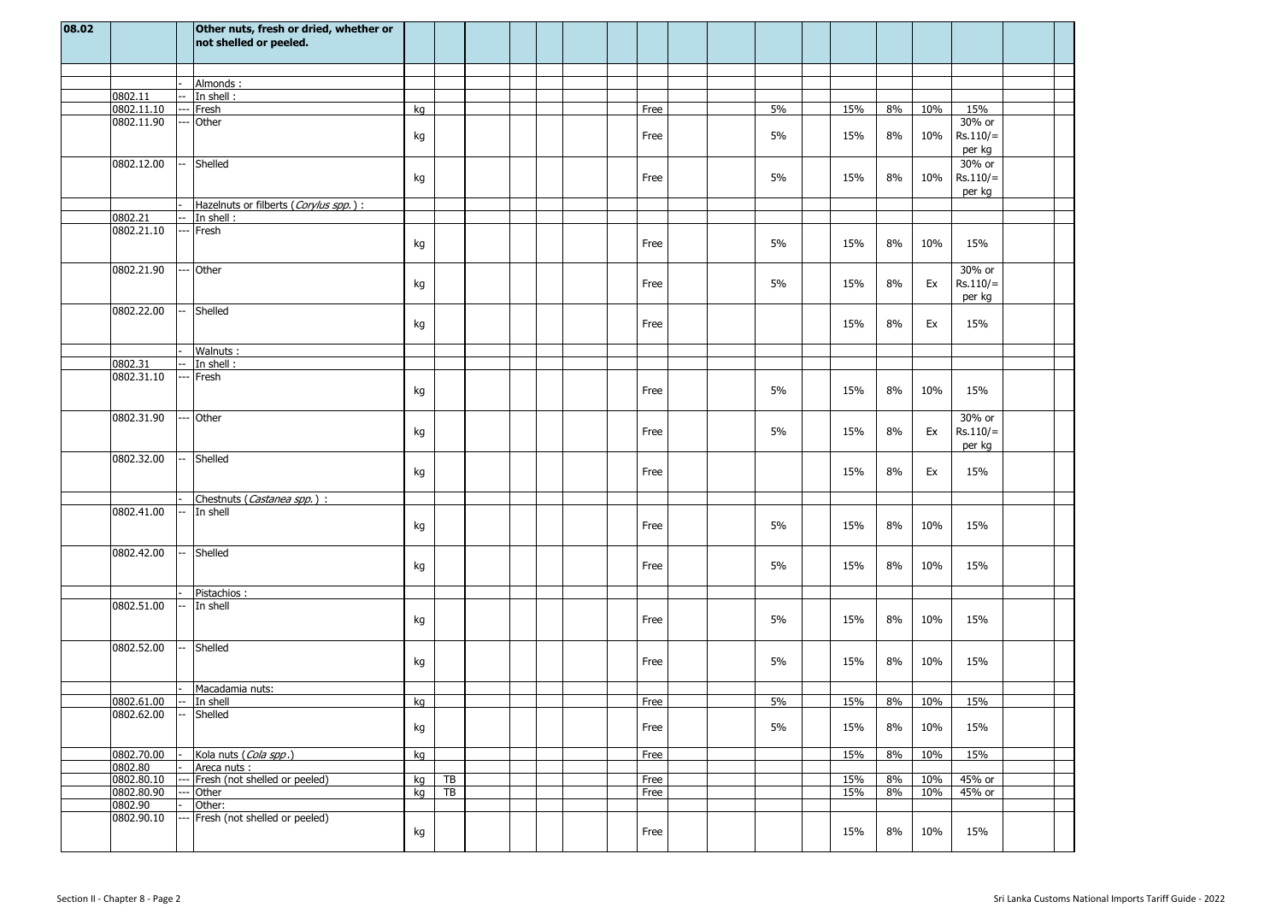| 08.02 |                  | Other nuts, fresh or dried, whether or<br>not shelled or peeled. |    |                 |  |  |      |  |    |     |    |        |                                |  |
|-------|------------------|------------------------------------------------------------------|----|-----------------|--|--|------|--|----|-----|----|--------|--------------------------------|--|
|       |                  |                                                                  |    |                 |  |  |      |  |    |     |    |        |                                |  |
|       |                  | Almonds:                                                         |    |                 |  |  |      |  |    |     |    |        |                                |  |
|       | 0802.11          | In shell:                                                        |    |                 |  |  |      |  |    |     |    |        |                                |  |
|       | 0802.11.10       | Fresh                                                            | kg |                 |  |  | Free |  | 5% | 15% | 8% | 10%    | 15%                            |  |
|       | 0802.11.90       | Other                                                            |    |                 |  |  |      |  |    |     |    |        | 30% or                         |  |
|       |                  |                                                                  | kg |                 |  |  | Free |  | 5% | 15% | 8% | 10%    | $Rs.110/=$<br>per kg           |  |
|       | 0802.12.00       | Shelled                                                          | kg |                 |  |  | Free |  | 5% | 15% | 8% | 10%    | 30% or<br>$Rs.110/=$<br>per kg |  |
|       |                  | Hazelnuts or filberts (Corylus spp.) :                           |    |                 |  |  |      |  |    |     |    |        |                                |  |
|       | 0802.21          | In shell:                                                        |    |                 |  |  |      |  |    |     |    |        |                                |  |
|       | 0802.21.10       | Fresh                                                            | kg |                 |  |  | Free |  | 5% | 15% | 8% | 10%    | 15%                            |  |
|       | 0802.21.90       | Other                                                            | kg |                 |  |  | Free |  | 5% | 15% | 8% | Ex     | 30% or<br>$Rs.110/=$<br>per kg |  |
|       | 0802.22.00       | Shelled                                                          | kg |                 |  |  | Free |  |    | 15% | 8% | Ex     | 15%                            |  |
|       |                  | Walnuts:                                                         |    |                 |  |  |      |  |    |     |    |        |                                |  |
|       | 0802.31          | In shell:                                                        |    |                 |  |  |      |  |    |     |    |        |                                |  |
|       | 0802.31.10       | Fresh                                                            | kg |                 |  |  | Free |  | 5% | 15% | 8% | 10%    | 15%                            |  |
|       | 0802.31.90       | Other                                                            | kg |                 |  |  | Free |  | 5% | 15% | 8% | Ex     | 30% or<br>$Rs.110/=$<br>per kg |  |
|       | 0802.32.00       | Shelled                                                          | kg |                 |  |  | Free |  |    | 15% | 8% | Ex     | 15%                            |  |
|       |                  | Chestnuts (Castanea spp.) :                                      |    |                 |  |  |      |  |    |     |    |        |                                |  |
|       | 0802.41.00       | In shell                                                         | kg |                 |  |  | Free |  | 5% | 15% | 8% | 10%    | 15%                            |  |
|       | 0802.42.00       | Shelled                                                          | kg |                 |  |  | Free |  | 5% | 15% | 8% | 10%    | 15%                            |  |
|       |                  | Pistachios:                                                      |    |                 |  |  |      |  |    |     |    |        |                                |  |
|       | 0802.51.00       | In shell                                                         | kg |                 |  |  | Free |  | 5% | 15% | 8% | 10%    | 15%                            |  |
|       | 0802.52.00       | Shelled                                                          | kg |                 |  |  | Free |  | 5% | 15% | 8% | 10%    | 15%                            |  |
|       |                  | Macadamia nuts:                                                  |    |                 |  |  |      |  |    |     |    |        |                                |  |
|       | $0802.61.00$ $-$ | In shell                                                         | kg |                 |  |  | Free |  | 5% | 15% |    | 8% 10% | 15%                            |  |
|       | 0802.62.00       | Shelled                                                          | kg |                 |  |  | Free |  | 5% | 15% | 8% | 10%    | 15%                            |  |
|       | 0802.70.00       | Kola nuts (Cola spp.)                                            | kg |                 |  |  | Free |  |    | 15% | 8% | 10%    | 15%                            |  |
|       | 0802.80          | Areca nuts :                                                     |    |                 |  |  |      |  |    |     |    |        |                                |  |
|       | 0802.80.10       | Fresh (not shelled or peeled)                                    | kg | $\overline{AB}$ |  |  | Free |  |    | 15% | 8% | 10%    | 45% or                         |  |
|       | 0802.80.90       | Other                                                            | kg | $\overline{TB}$ |  |  | Free |  |    | 15% | 8% | 10%    | 45% or                         |  |
|       | 0802.90          | Other:                                                           |    |                 |  |  |      |  |    |     |    |        |                                |  |
|       | 0802.90.10       | Fresh (not shelled or peeled)                                    | kg |                 |  |  | Free |  |    | 15% | 8% | 10%    | 15%                            |  |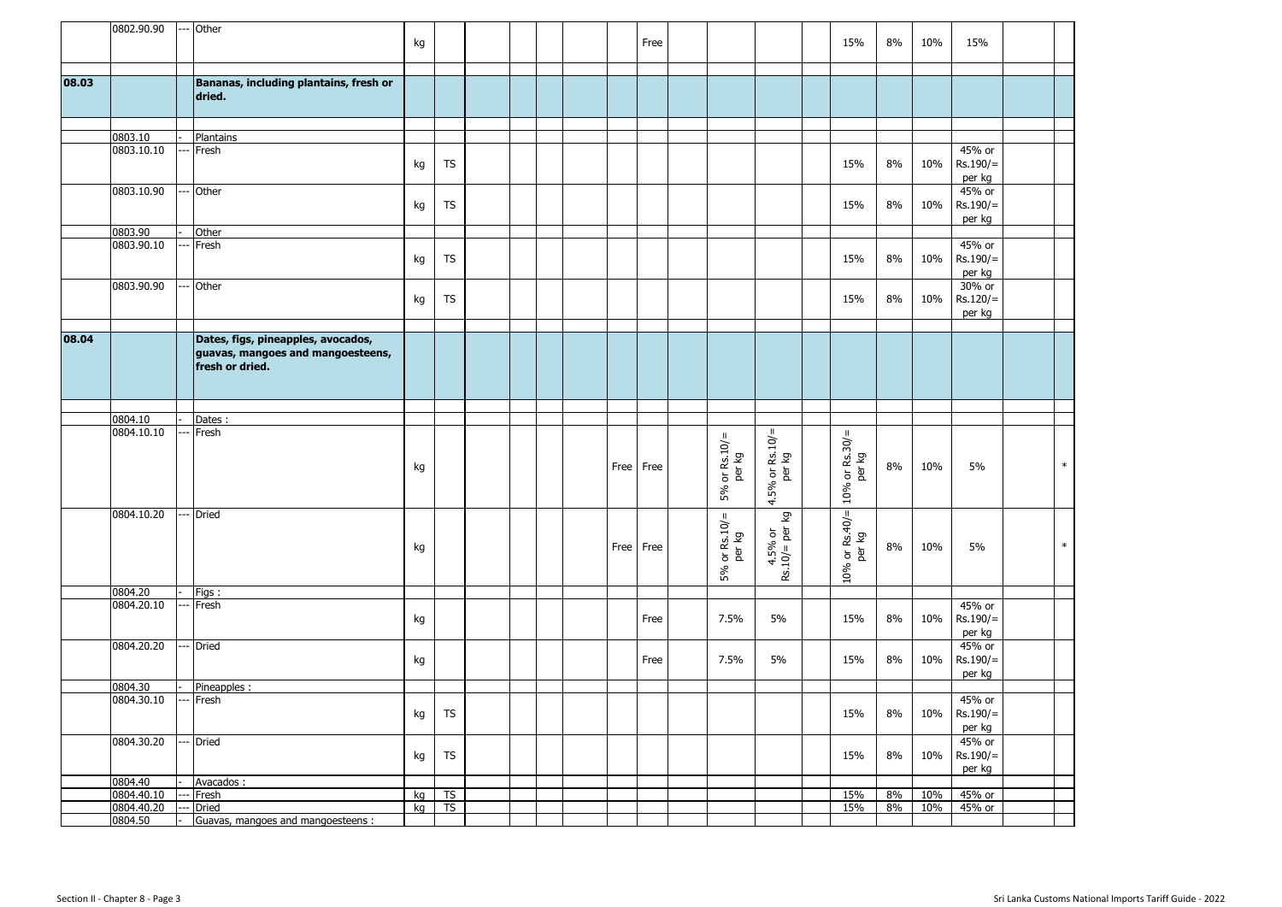|       | 0802.90.90               | - Other                                |          |           |  |  |      |           |                            |                             |                             |          |            |                  |        |
|-------|--------------------------|----------------------------------------|----------|-----------|--|--|------|-----------|----------------------------|-----------------------------|-----------------------------|----------|------------|------------------|--------|
|       |                          |                                        | kg       |           |  |  |      | Free      |                            |                             | 15%                         | 8%       | 10%        | 15%              |        |
|       |                          |                                        |          |           |  |  |      |           |                            |                             |                             |          |            |                  |        |
| 08.03 |                          | Bananas, including plantains, fresh or |          |           |  |  |      |           |                            |                             |                             |          |            |                  |        |
|       |                          | dried.                                 |          |           |  |  |      |           |                            |                             |                             |          |            |                  |        |
|       |                          |                                        |          |           |  |  |      |           |                            |                             |                             |          |            |                  |        |
|       |                          |                                        |          |           |  |  |      |           |                            |                             |                             |          |            |                  |        |
|       | 0803.10                  | Plantains                              |          |           |  |  |      |           |                            |                             |                             |          |            |                  |        |
|       | 0803.10.10               | Fresh                                  |          |           |  |  |      |           |                            |                             |                             |          |            | 45% or           |        |
|       |                          |                                        | kg       | <b>TS</b> |  |  |      |           |                            |                             | 15%                         | 8%       | 10%        | $Rs.190/=$       |        |
|       | 0803.10.90               | Other                                  |          |           |  |  |      |           |                            |                             |                             |          |            | per kg<br>45% or |        |
|       |                          |                                        | kg       | <b>TS</b> |  |  |      |           |                            |                             | 15%                         | 8%       | 10%        | $Rs.190/=$       |        |
|       |                          |                                        |          |           |  |  |      |           |                            |                             |                             |          |            | per kg           |        |
|       | 0803.90                  | Other                                  |          |           |  |  |      |           |                            |                             |                             |          |            |                  |        |
|       | 0803.90.10               | Fresh                                  |          |           |  |  |      |           |                            |                             |                             |          |            | 45% or           |        |
|       |                          |                                        | kg       | <b>TS</b> |  |  |      |           |                            |                             | 15%                         | 8%       | 10%        | $Rs.190/=$       |        |
|       |                          |                                        |          |           |  |  |      |           |                            |                             |                             |          |            | per kg<br>30% or |        |
|       | 0803.90.90               | Other                                  | kg       | <b>TS</b> |  |  |      |           |                            |                             | 15%                         | 8%       | 10%        | $Rs.120/=$       |        |
|       |                          |                                        |          |           |  |  |      |           |                            |                             |                             |          |            | per kg           |        |
|       |                          |                                        |          |           |  |  |      |           |                            |                             |                             |          |            |                  |        |
| 08.04 |                          | Dates, figs, pineapples, avocados,     |          |           |  |  |      |           |                            |                             |                             |          |            |                  |        |
|       |                          | guavas, mangoes and mangoesteens,      |          |           |  |  |      |           |                            |                             |                             |          |            |                  |        |
|       |                          | fresh or dried.                        |          |           |  |  |      |           |                            |                             |                             |          |            |                  |        |
|       |                          |                                        |          |           |  |  |      |           |                            |                             |                             |          |            |                  |        |
|       |                          |                                        |          |           |  |  |      |           |                            |                             |                             |          |            |                  |        |
|       | 0804.10                  | Dates:                                 |          |           |  |  |      |           |                            |                             |                             |          |            |                  |        |
|       | 0804.10.10               | Fresh                                  |          |           |  |  |      |           |                            | $4.5%$ or Rs.10/=<br>per kg |                             |          |            |                  |        |
|       |                          |                                        |          |           |  |  |      |           |                            |                             |                             |          |            |                  |        |
|       |                          |                                        | kg       |           |  |  |      | Free Free |                            |                             |                             | 8%       | 10%        | 5%               | $\ast$ |
|       |                          |                                        |          |           |  |  |      |           |                            |                             |                             |          |            |                  |        |
|       |                          |                                        |          |           |  |  |      |           | $5\%$ or Rs.10/=<br>per kg |                             | $10%$ or Rs.30/=<br>per kg  |          |            |                  |        |
|       | 0804.10.20               | <b>Dried</b>                           |          |           |  |  |      |           |                            |                             |                             |          |            |                  |        |
|       |                          |                                        |          |           |  |  |      |           |                            | δñ                          |                             |          |            |                  |        |
|       |                          |                                        |          |           |  |  | Free | Free      |                            |                             |                             | 8%       | 10%        | 5%               | $\ast$ |
|       |                          |                                        | kg       |           |  |  |      |           |                            |                             |                             |          |            |                  |        |
|       |                          |                                        |          |           |  |  |      |           | $5%$ or $Rs.10/=\$ per kg  | $4.5\%$ or<br>Rs.10/= per l | $10\%$ or Rs.40/=<br>per kg |          |            |                  |        |
|       | 0804.20                  | Figs:                                  |          |           |  |  |      |           |                            |                             |                             |          |            |                  |        |
|       | 0804.20.10               | Fresh                                  |          |           |  |  |      |           |                            |                             |                             |          |            | 45% or           |        |
|       |                          |                                        | kg       |           |  |  |      | Free      | 7.5%                       | 5%                          | 15%                         | 8%       | 10%        | $Rs.190/=$       |        |
|       |                          |                                        |          |           |  |  |      |           |                            |                             |                             |          |            | per kg           |        |
|       | 0804.20.20               | <b>Dried</b>                           |          |           |  |  |      |           |                            |                             |                             |          |            | 45% or           |        |
|       |                          |                                        | kg       |           |  |  |      | Free      | 7.5%                       | 5%                          | 15%                         | 8%       | 10%        | $Rs.190/=$       |        |
|       | 0804.30                  |                                        |          |           |  |  |      |           |                            |                             |                             |          |            | per kg           |        |
|       | 0804.30.10               | Pineapples :<br>--- Fresh              |          |           |  |  |      |           |                            |                             |                             |          |            | 45% or           |        |
|       |                          |                                        | kg       | TS        |  |  |      |           |                            |                             | 15%                         | 8%       | 10%        | $Rs.190/=$       |        |
|       |                          |                                        |          |           |  |  |      |           |                            |                             |                             |          |            | per kg           |        |
|       | 0804.30.20               | - Dried                                |          |           |  |  |      |           |                            |                             |                             |          |            | 45% or           |        |
|       |                          |                                        | kg       | <b>TS</b> |  |  |      |           |                            |                             | 15%                         | 8%       | 10%        | $Rs.190/=$       |        |
|       |                          |                                        |          |           |  |  |      |           |                            |                             |                             |          |            | per kg           |        |
|       | 0804.40                  | Avacados:                              |          |           |  |  |      |           |                            |                             |                             |          |            |                  |        |
|       | 0804.40.10<br>0804.40.20 | Fresh<br><b>Dried</b>                  | kg<br>kg | TS<br>TS  |  |  |      |           |                            |                             | 15%<br>15%                  | 8%<br>8% | 10%<br>10% | 45% or<br>45% or |        |
|       | 0804.50                  | Guavas, mangoes and mangoesteens :     |          |           |  |  |      |           |                            |                             |                             |          |            |                  |        |
|       |                          |                                        |          |           |  |  |      |           |                            |                             |                             |          |            |                  |        |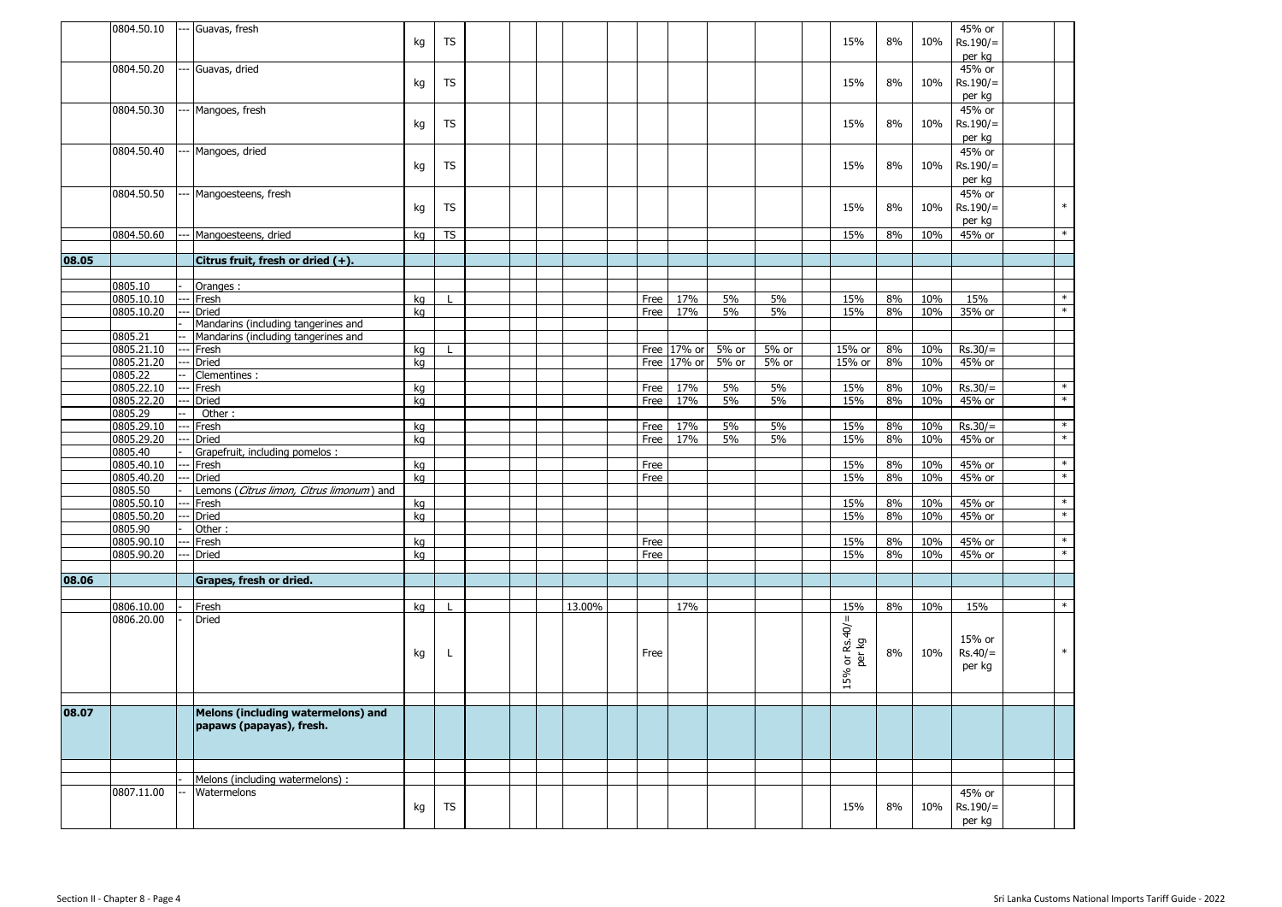|       | 0804.50.10               | --- Guavas, fresh                                                          | kg       | TS        |  |        |              |             |          |          | 15%               | 8%       | 10%        | 45% or<br>$Rs.190/=$ |               |
|-------|--------------------------|----------------------------------------------------------------------------|----------|-----------|--|--------|--------------|-------------|----------|----------|-------------------|----------|------------|----------------------|---------------|
|       |                          |                                                                            |          |           |  |        |              |             |          |          |                   |          |            | per kg               |               |
|       | 0804.50.20               | Guavas, dried                                                              | kg       | TS        |  |        |              |             |          |          | 15%               | 8%       | 10%        | 45% or<br>$Rs.190/=$ |               |
|       |                          |                                                                            |          |           |  |        |              |             |          |          |                   |          |            | per kg               |               |
|       | 0804.50.30               | Mangoes, fresh                                                             | kg       | TS        |  |        |              |             |          |          | 15%               | 8%       | 10%        | 45% or<br>$Rs.190/=$ |               |
|       |                          |                                                                            |          |           |  |        |              |             |          |          |                   |          |            | per kg               |               |
|       | 0804.50.40               | Mangoes, dried                                                             |          |           |  |        |              |             |          |          |                   |          |            | 45% or               |               |
|       |                          |                                                                            | kg       | TS        |  |        |              |             |          |          | 15%               | 8%       | 10%        | $Rs.190/=$           |               |
|       |                          |                                                                            |          |           |  |        |              |             |          |          |                   |          |            | per kg               |               |
|       | 0804.50.50               | Mangoesteens, fresh                                                        |          | TS        |  |        |              |             |          |          | 15%               | 8%       | 10%        | 45% or<br>$Rs.190/=$ | $\ast$        |
|       |                          |                                                                            | kg       |           |  |        |              |             |          |          |                   |          |            | per kg               |               |
|       | 0804.50.60               | Mangoesteens, dried                                                        | kg       | <b>TS</b> |  |        |              |             |          |          | 15%               | 8%       | 10%        | 45% or               | $\ast$        |
|       |                          |                                                                            |          |           |  |        |              |             |          |          |                   |          |            |                      |               |
| 08.05 |                          | Citrus fruit, fresh or dried (+).                                          |          |           |  |        |              |             |          |          |                   |          |            |                      |               |
|       | 0805.10                  | Oranges :                                                                  |          |           |  |        |              |             |          |          |                   |          |            |                      |               |
|       | 0805.10.10               | Fresh                                                                      | kg       |           |  |        | Free         | 17%         | 5%       | 5%       | 15%               | 8%       | 10%        | 15%                  | $\ast$        |
|       | 0805.10.20               | Dried                                                                      | kg       |           |  |        | Free         | 17%         | 5%       | 5%       | 15%               | $8\%$    | 10%        | 35% or               | $\ast$        |
|       | 0805.21                  | Mandarins (including tangerines and<br>Mandarins (including tangerines and |          |           |  |        |              |             |          |          |                   |          |            |                      |               |
|       | 0805.21.10               | Fresh                                                                      | kg       |           |  |        |              | Free 17% or | 5% or    | 5% or    | 15% or            | 8%       | 10%        | $Rs.30/=$            |               |
|       | 0805.21.20               | <b>Dried</b>                                                               | kg       |           |  |        |              | Free 17% or | 5% or    | 5% or    | 15% or            | 8%       | 10%        | 45% or               |               |
|       | 0805.22                  | Clementines :                                                              |          |           |  |        |              |             |          |          |                   |          |            |                      |               |
|       | 0805.22.10<br>0805.22.20 | Fresh<br><b>Dried</b>                                                      | kg       |           |  |        | Free         | 17%<br>17%  | 5%<br>5% | 5%<br>5% | 15%<br>15%        | 8%<br>8% | 10%<br>10% | $Rs.30/=$<br>45% or  | $*$<br>$\ast$ |
|       | 0805.29                  | Other:                                                                     | kg       |           |  |        | Free         |             |          |          |                   |          |            |                      |               |
|       | 0805.29.10               | Fresh                                                                      | kg       |           |  |        | Free         | 17%         | 5%       | 5%       | 15%               | 8%       | 10%        | $Rs.30/=$            | $\ast$        |
|       | 0805.29.20               | Dried                                                                      | kg       |           |  |        | Free         | 17%         | 5%       | 5%       | 15%               | 8%       | 10%        | 45% or               | $*$           |
|       | 0805.40                  | Grapefruit, including pomelos :                                            |          |           |  |        |              |             |          |          |                   |          |            |                      | $\ast$        |
|       | 0805.40.10<br>0805.40.20 | Fresh<br>Dried                                                             | kg<br>kg |           |  |        | Free<br>Free |             |          |          | 15%<br>15%        | 8%<br>8% | 10%<br>10% | 45% or<br>45% or     | $\ast$        |
|       | 0805.50                  | Lemons (Citrus limon, Citrus limonum) and                                  |          |           |  |        |              |             |          |          |                   |          |            |                      |               |
|       | 0805.50.10               | Fresh                                                                      | kg       |           |  |        |              |             |          |          | 15%               | 8%       | 10%        | 45% or               | $*$           |
|       | 0805.50.20               | <b>Dried</b>                                                               | kg       |           |  |        |              |             |          |          | 15%               | 8%       | 10%        | 45% or               | $\ast$        |
|       | 0805.90<br>0805.90.10    | Other:<br>Fresh                                                            | kg       |           |  |        | Free         |             |          |          | 15%               | 8%       | 10%        | 45% or               | $\ast$        |
|       | 0805.90.20               | <b>Dried</b>                                                               | kg       |           |  |        | Free         |             |          |          | 15%               | 8%       | 10%        | 45% or               | $*$           |
|       |                          |                                                                            |          |           |  |        |              |             |          |          |                   |          |            |                      |               |
| 08.06 |                          | Grapes, fresh or dried.                                                    |          |           |  |        |              |             |          |          |                   |          |            |                      |               |
|       | 0806.10.00               | Fresh                                                                      | kg       |           |  | 13.00% |              | 17%         |          |          | 15%               | 8%       | 10%        | 15%                  | $\ast$        |
|       | 0806.20.00               | <b>Dried</b>                                                               |          |           |  |        |              |             |          |          |                   |          |            |                      |               |
|       |                          |                                                                            |          |           |  |        |              |             |          |          | 15% or $Rs.40/$ = |          |            | 15% or               |               |
|       |                          |                                                                            | kg       | L.        |  |        | Free         |             |          |          | per kg            | 8%       | 10%        | $Rs.40/=$            | $\ast$        |
|       |                          |                                                                            |          |           |  |        |              |             |          |          |                   |          |            | per kg               |               |
|       |                          |                                                                            |          |           |  |        |              |             |          |          |                   |          |            |                      |               |
|       |                          |                                                                            |          |           |  |        |              |             |          |          |                   |          |            |                      |               |
| 08.07 |                          | Melons (including watermelons) and                                         |          |           |  |        |              |             |          |          |                   |          |            |                      |               |
|       |                          | papaws (papayas), fresh.                                                   |          |           |  |        |              |             |          |          |                   |          |            |                      |               |
|       |                          |                                                                            |          |           |  |        |              |             |          |          |                   |          |            |                      |               |
|       |                          |                                                                            |          |           |  |        |              |             |          |          |                   |          |            |                      |               |
|       |                          | Melons (including watermelons) :                                           |          |           |  |        |              |             |          |          |                   |          |            |                      |               |
|       | 0807.11.00               | Watermelons                                                                |          |           |  |        |              |             |          |          |                   |          |            | 45% or               |               |
|       |                          |                                                                            | kg       | <b>TS</b> |  |        |              |             |          |          | 15%               | 8%       | 10%        | $Rs.190/=$           |               |
|       |                          |                                                                            |          |           |  |        |              |             |          |          |                   |          |            | per kg               |               |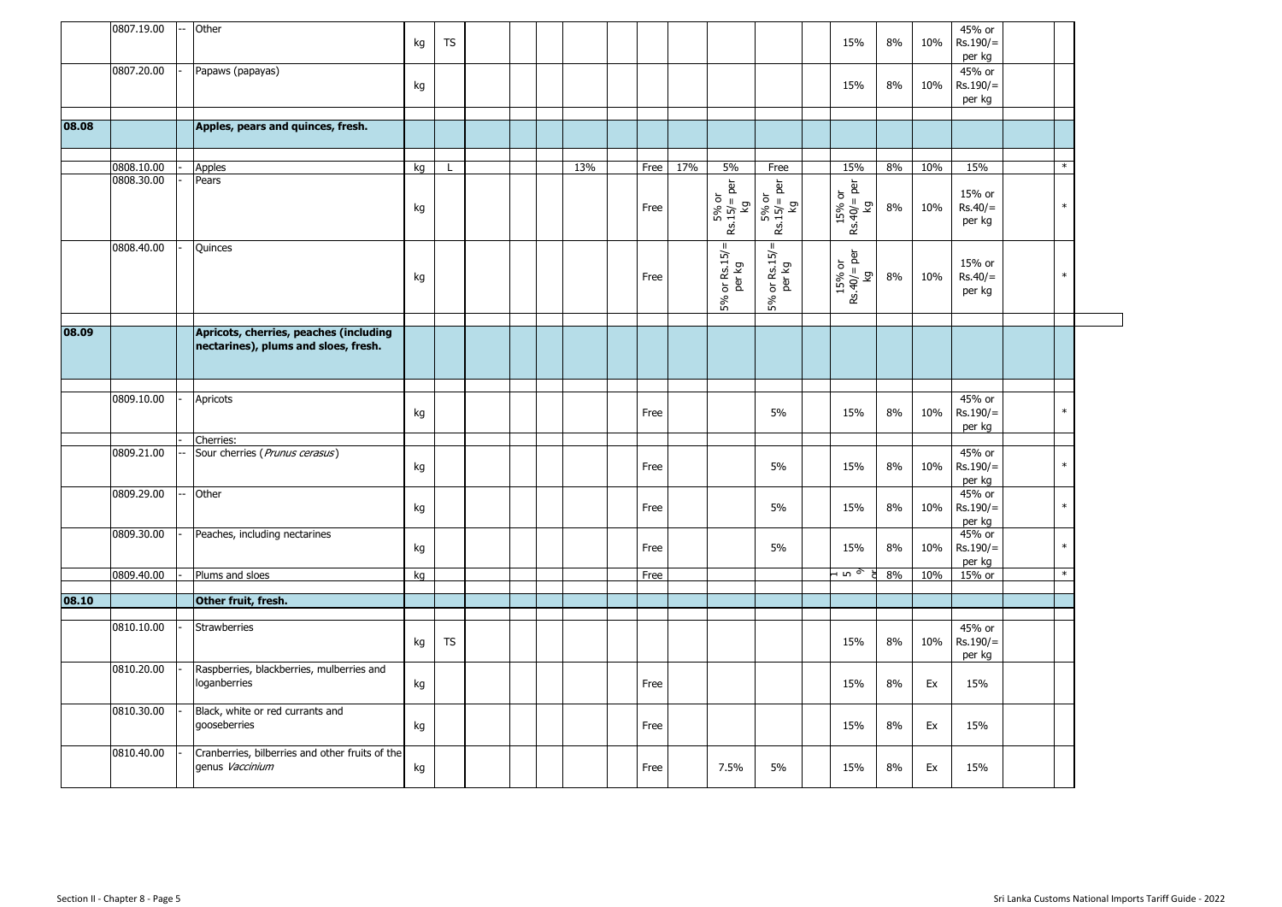|       | 0807.19.00 | Other                                                                          | kg | <b>TS</b>    |  |     |      |     |                              |                               | 15%                                     | 8% | 10% | 45% or<br>$Rs.190/=$<br>per kg   |         |  |
|-------|------------|--------------------------------------------------------------------------------|----|--------------|--|-----|------|-----|------------------------------|-------------------------------|-----------------------------------------|----|-----|----------------------------------|---------|--|
|       | 0807.20.00 | Papaws (papayas)                                                               | kg |              |  |     |      |     |                              |                               | 15%                                     | 8% | 10% | 45% or<br>Rs.190/=<br>per kg     |         |  |
| 08.08 |            | Apples, pears and quinces, fresh.                                              |    |              |  |     |      |     |                              |                               |                                         |    |     |                                  |         |  |
|       | 0808.10.00 | Apples                                                                         | kg | $\mathbf{I}$ |  | 13% | Free | 17% | 5%                           | Free                          | 15%                                     | 8% | 10% | 15%                              | $\star$ |  |
|       | 0808.30.00 | Pears                                                                          | kg |              |  |     | Free |     | $5%$ or<br>Rs.15/= per<br>kg | $5\%$ or<br>Rs.15/= per<br>kg | $15\% \text{ or }$<br>Rs.40/= per<br>Kg | 8% | 10% | 15% or<br>$Rs.40/=$<br>per kg    | $\ast$  |  |
|       | 0808.40.00 | Quinces                                                                        | kg |              |  |     | Free |     | or Rs. $15/=\$ per kg<br>5%  | $5%$ or Rs.15/=<br>per kg     | 15% or<br>Rs.40/= per<br>kg             | 8% | 10% | 15% or<br>$Rs.40/=$<br>per kg    | $\ast$  |  |
| 08.09 |            | Apricots, cherries, peaches (including<br>nectarines), plums and sloes, fresh. |    |              |  |     |      |     |                              |                               |                                         |    |     |                                  |         |  |
|       |            |                                                                                |    |              |  |     |      |     |                              |                               |                                         |    |     |                                  |         |  |
|       | 0809.10.00 | Apricots                                                                       | kg |              |  |     | Free |     |                              | 5%                            | 15%                                     | 8% | 10% | $45%$ or<br>$Rs.190/=$<br>per kg | $\ast$  |  |
|       | 0809.21.00 | Cherries:<br>Sour cherries (Prunus cerasus)                                    | kg |              |  |     | Free |     |                              | 5%                            | 15%                                     | 8% | 10% | $45%$ or<br>$Rs.190/=$<br>per kg | $\ast$  |  |
|       | 0809.29.00 | Other                                                                          | kg |              |  |     | Free |     |                              | 5%                            | 15%                                     | 8% | 10% | 45% or<br>$Rs.190/=$<br>per kg   | $\ast$  |  |
|       | 0809.30.00 | Peaches, including nectarines                                                  | kg |              |  |     | Free |     |                              | 5%                            | 15%                                     | 8% | 10% | 45% or<br>$Rs.190/=$<br>per kg   | $\ast$  |  |
|       | 0809.40.00 | Plums and sloes                                                                | kg |              |  |     | Free |     |                              |                               | ⊣ທ >ັ                                   | 8% | 10% | 15% or                           | $\ast$  |  |
| 08.10 |            | Other fruit, fresh.                                                            |    |              |  |     |      |     |                              |                               |                                         |    |     |                                  |         |  |
|       | 0810.10.00 | <b>Strawberries</b>                                                            | kg | <b>TS</b>    |  |     |      |     |                              |                               | 15%                                     | 8% | 10% | 45% or<br>$Rs.190/=$<br>per kg   |         |  |
|       | 0810.20.00 | Raspberries, blackberries, mulberries and<br>loganberries                      | kg |              |  |     | Free |     |                              |                               | 15%                                     | 8% | Ex  | 15%                              |         |  |
|       | 0810.30.00 | Black, white or red currants and<br>gooseberries                               | kg |              |  |     | Free |     |                              |                               | 15%                                     | 8% | Ex  | 15%                              |         |  |
|       | 0810.40.00 | Cranberries, bilberries and other fruits of the<br>genus Vaccinium             | kg |              |  |     | Free |     | 7.5%                         | 5%                            | 15%                                     | 8% | Ex  | 15%                              |         |  |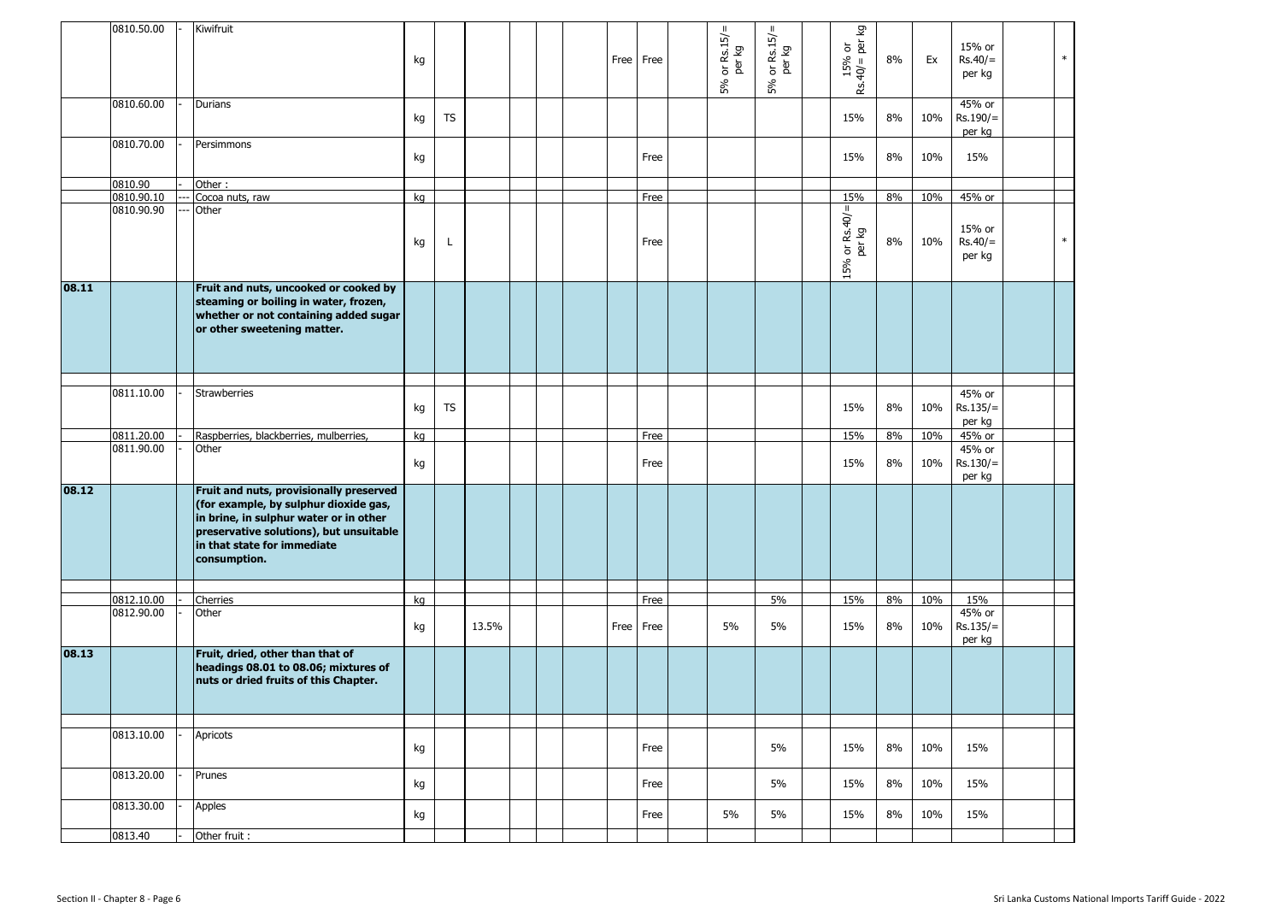|       | 0810.50.00               | Kiwifruit                                                                                                                                                                                                            | kg |           |       |  |  | Free Free | $5%$ or Rs.15/=<br>per kg | or $Rs.15/=\nperkg$<br>5% | kg<br>$15%$ or<br>$40/=$ per $\frac{1}{2}$<br>$Rs.40/=1$ | 8% | Ex  | 15% or<br>$Rs.40/=$<br>per kg  | $\ast$ |
|-------|--------------------------|----------------------------------------------------------------------------------------------------------------------------------------------------------------------------------------------------------------------|----|-----------|-------|--|--|-----------|---------------------------|---------------------------|----------------------------------------------------------|----|-----|--------------------------------|--------|
|       | 0810.60.00               | Durians                                                                                                                                                                                                              | kg | TS        |       |  |  |           |                           |                           | 15%                                                      | 8% | 10% | 45% or<br>$Rs.190/=$<br>per kg |        |
|       | 0810.70.00               | Persimmons                                                                                                                                                                                                           | kg |           |       |  |  | Free      |                           |                           | 15%                                                      | 8% | 10% | 15%                            |        |
|       | 0810.90                  | Other:                                                                                                                                                                                                               |    |           |       |  |  |           |                           |                           |                                                          |    |     |                                |        |
|       | 0810.90.10<br>0810.90.90 | Cocoa nuts, raw<br>Other                                                                                                                                                                                             | kg |           |       |  |  | Free      |                           |                           | 15%                                                      | 8% | 10% | 45% or                         |        |
|       |                          |                                                                                                                                                                                                                      | kg | L         |       |  |  | Free      |                           |                           | $15% \text{ or Rs. } 40/ =  t $                          | 8% | 10% | 15% or<br>$Rs.40/=$<br>per kg  | $\ast$ |
| 08.11 |                          | Fruit and nuts, uncooked or cooked by<br>steaming or boiling in water, frozen,<br>whether or not containing added sugar<br>or other sweetening matter.                                                               |    |           |       |  |  |           |                           |                           |                                                          |    |     |                                |        |
|       |                          |                                                                                                                                                                                                                      |    |           |       |  |  |           |                           |                           |                                                          |    |     |                                |        |
|       | 0811.10.00               | <b>Strawberries</b>                                                                                                                                                                                                  | kg | <b>TS</b> |       |  |  |           |                           |                           | 15%                                                      | 8% | 10% | 45% or<br>$Rs.135/=$<br>per kg |        |
|       | 0811.20.00               | Raspberries, blackberries, mulberries,                                                                                                                                                                               | kg |           |       |  |  | Free      |                           |                           | 15%                                                      | 8% | 10% | 45% or                         |        |
|       | 0811.90.00               | Other                                                                                                                                                                                                                | kg |           |       |  |  | Free      |                           |                           | 15%                                                      | 8% | 10% | 45% or<br>$Rs.130/=$<br>per kg |        |
| 08.12 |                          | Fruit and nuts, provisionally preserved<br>(for example, by sulphur dioxide gas,<br>in brine, in sulphur water or in other<br>preservative solutions), but unsuitable<br>in that state for immediate<br>consumption. |    |           |       |  |  |           |                           |                           |                                                          |    |     |                                |        |
|       |                          |                                                                                                                                                                                                                      |    |           |       |  |  |           |                           |                           |                                                          |    |     |                                |        |
|       | 0812.10.00<br>0812.90.00 | Cherries<br>Other                                                                                                                                                                                                    | kg |           |       |  |  | Free      |                           | 5%                        | 15%                                                      | 8% | 10% | 15%<br>45% or                  |        |
|       |                          |                                                                                                                                                                                                                      | kg |           | 13.5% |  |  | Free Free | 5%                        | 5%                        | 15%                                                      | 8% | 10% | $Rs.135/=$<br>per kg           |        |
| 08.13 |                          | Fruit, dried, other than that of<br>headings 08.01 to 08.06; mixtures of<br>nuts or dried fruits of this Chapter.                                                                                                    |    |           |       |  |  |           |                           |                           |                                                          |    |     |                                |        |
|       |                          |                                                                                                                                                                                                                      |    |           |       |  |  |           |                           |                           |                                                          |    |     |                                |        |
|       | 0813.10.00               | Apricots                                                                                                                                                                                                             | kg |           |       |  |  | Free      |                           | 5%                        | 15%                                                      | 8% | 10% | 15%                            |        |
|       | 0813.20.00               | Prunes                                                                                                                                                                                                               | kg |           |       |  |  | Free      |                           | 5%                        | 15%                                                      | 8% | 10% | 15%                            |        |
|       | 0813.30.00               | Apples                                                                                                                                                                                                               | kg |           |       |  |  | Free      | 5%                        | 5%                        | 15%                                                      | 8% | 10% | 15%                            |        |
|       | 0813.40                  | Other fruit :                                                                                                                                                                                                        |    |           |       |  |  |           |                           |                           |                                                          |    |     |                                |        |